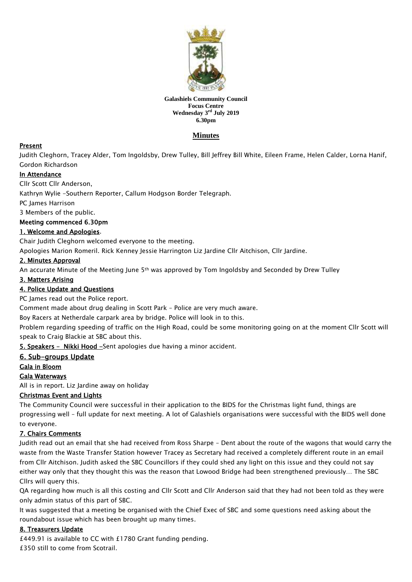

#### **Galashiels Community Council Focus Centre Wednesday 3 rd July 2019 6.30pm**

# **Minutes**

## Present

Judith Cleghorn, Tracey Alder, Tom Ingoldsby, Drew Tulley, Bill Jeffrey Bill White, Eileen Frame, Helen Calder, Lorna Hanif, Gordon Richardson

## In Attendance

Cllr Scott Cllr Anderson,

Kathryn Wylie -Southern Reporter, Callum Hodgson Border Telegraph.

PC James Harrison

3 Members of the public.

## Meeting commenced 6.30pm

## 1. Welcome and Apologies.

Chair Judith Cleghorn welcomed everyone to the meeting.

Apologies Marion Romeril. Rick Kenney Jessie Harrington Liz Jardine Cllr Aitchison, Cllr Jardine.

## 2. Minutes Approval

An accurate Minute of the Meeting June 5<sup>th</sup> was approved by Tom Ingoldsby and Seconded by Drew Tulley

#### 3. Matters Arising

#### 4. Police Update and Questions

PC James read out the Police report.

Comment made about drug dealing in Scott Park – Police are very much aware.

Boy Racers at Netherdale carpark area by bridge. Police will look in to this.

Problem regarding speeding of traffic on the High Road, could be some monitoring going on at the moment Cllr Scott will speak to Craig Blackie at SBC about this.

5. Speakers - Nikki Hood -Sent apologies due having a minor accident.

## 6. Sub-groups Update

## Gala in Bloom

## Gala Waterways

All is in report. Liz Jardine away on holiday

## Christmas Event and Lights

The Community Council were successful in their application to the BIDS for the Christmas light fund, things are progressing well – full update for next meeting. A lot of Galashiels organisations were successful with the BIDS well done to everyone.

## 7. Chairs Comments

Judith read out an email that she had received from Ross Sharpe – Dent about the route of the wagons that would carry the waste from the Waste Transfer Station however Tracey as Secretary had received a completely different route in an email from Cllr Aitchison. Judith asked the SBC Councillors if they could shed any light on this issue and they could not say either way only that they thought this was the reason that Lowood Bridge had been strengthened previously… The SBC Cllrs will query this.

QA regarding how much is all this costing and Cllr Scott and Cllr Anderson said that they had not been told as they were only admin status of this part of SBC.

It was suggested that a meeting be organised with the Chief Exec of SBC and some questions need asking about the roundabout issue which has been brought up many times.

## 8. Treasurers Update

£449.91 is available to CC with £1780 Grant funding pending. £350 still to come from Scotrail.